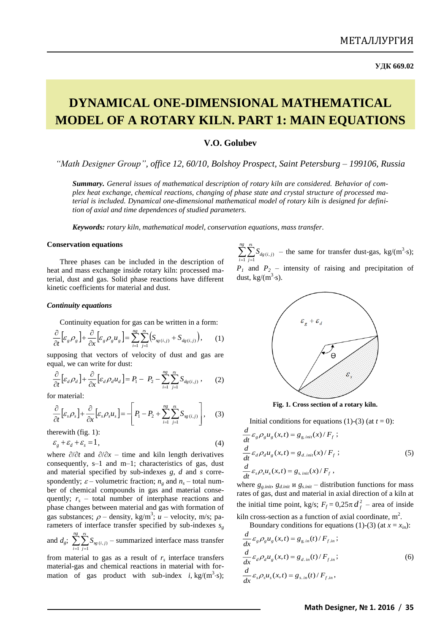# **DYNAMICAL ONE-DIMENSIONAL MATHEMATICAL MODEL OF A ROTARY KILN. PART 1: MAIN EQUATIONS**

# **V.O. Golubev**

*"Math Designer Group", office 12, 60/10, Bolshoy Prospect, Saint Petersburg – 199106, Russia*

*Summary. General issues of mathematical description of rotary kiln are considered. Behavior of complex heat exchange, chemical reactions, changing of phase state and crystal structure of processed material is included. Dynamical one-dimensional mathematical model of rotary kiln is designed for definition of axial and time dependences of studied parameters.*

*Keywords: rotary kiln, mathematical model, conservation equations, mass transfer.*

## **Conservation equations**

Three phases can be included in the description of heat and mass exchange inside rotary kiln: processed material, dust and gas. Solid phase reactions have different kinetic coefficients for material and dust.

#### *Continuity equations*

Continuity equation for gas can be written in a form:

$$
\frac{\partial}{\partial t} \Big[ \varepsilon_g \rho_g \Big] + \frac{\partial}{\partial x} \Big[ \varepsilon_g \rho_g u_g \Big] = \sum_{i=1}^{ng} \sum_{j=1}^{n} \Big( S_{sg(i,j)} + S_{dg(i,j)} \Big), \qquad (1)
$$

supposing that vectors of velocity of dust and gas are equal, we can write for dust:

$$
\frac{\partial}{\partial t} \left[ \varepsilon_d \rho_d \right] + \frac{\partial}{\partial x} \left[ \varepsilon_d \rho_d u_d \right] = P_1 - P_2 - \sum_{i=1}^{ng} \sum_{j=1}^{n} S_{dg(i,j)}, \qquad (2)
$$

for material:

$$
\frac{\partial}{\partial t} \left[ \varepsilon_s \rho_s \right] + \frac{\partial}{\partial x} \left[ \varepsilon_s \rho_s u_s \right] = - \left[ P_1 - P_2 + \sum_{i=1}^{ng} \sum_{j=1}^{n} S_{sg(i,j)} \right], \quad (3)
$$

therewith (fig. 1):

$$
\varepsilon_g + \varepsilon_d + \varepsilon_s = 1, \tag{4}
$$

where  $\partial/\partial t$  and  $\partial/\partial x$  – time and kiln length derivatives consequently, s–1 and m–1; characteristics of gas, dust and material specified by sub-indexes *g*, *d* and *s* correspondently;  $\varepsilon$  – volumetric fraction;  $n_g$  and  $n_s$  – total number of chemical compounds in gas and material consequently;  $r<sub>s</sub>$  – total number of interphase reactions and phase changes between material and gas with formation of gas substances;  $\rho$  – density, kg/m<sup>3</sup>; *u* – velocity, m/s; parameters of interface transfer specified by sub-indexes *s<sup>g</sup>*

and  $d_g$ ;  $\sum_{i=1}^{n} \sum_{j=1}^{n}$ *ng i*  $\sum_{j=1}^{n} S_{sg(i,j)}$  – summarized interface mass transfer

from material to gas as a result of  $r<sub>s</sub>$  interface transfers material-gas and chemical reactions in material with formation of gas product with sub-index  $i$ , kg/(m<sup>3</sup>·s);

 $\sum_{i=1} \sum_{j=1}$ *ng i*  $\sum_{j=1}^{n} S_{dg(i,j)}$  – the same for transfer dust-gas, kg/(m<sup>3</sup>·s);  $P_1$  and  $P_2$  – intensity of raising and precipitation of dust,  $kg/(m^3 \cdot s)$ .

<span id="page-0-0"></span>

**Fig. 1. Cross section of a rotary kiln.**

Initial conditions for equations [\(1\)](#page-0-0)-[\(3\)](#page-0-1) (at  $t = 0$ ):

<span id="page-0-2"></span><span id="page-0-1"></span>
$$
\frac{d}{dt} \varepsilon_{g} \rho_{g} u_{g}(x, t) = g_{g, ini}(x) / F_{f} ;
$$
\n
$$
\frac{d}{dt} \varepsilon_{d} \rho_{d} u_{g}(x, t) = g_{d, ini}(x) / F_{f} ;
$$
\n
$$
\frac{d}{dt} \varepsilon_{s} \rho_{s} u_{s}(x, t) = g_{s, ini}(x) / F_{f} ;
$$
\n(5)

where  $g_{g,init}$ ,  $g_{d,init}$  u  $g_{s,init}$  – distribution functions for mass rates of gas, dust and material in axial direction of a kiln at the initial time point, kg/s;  $F_f = 0.25 \pi d_f^2$  – area of inside

kiln cross-section as a function of axial coordinate,  $m^2$ . Boundary conditions for equations [\(1\)](#page-0-0)-[\(3\)](#page-0-1) (at  $x = x_{in}$ ):

$$
\frac{d}{dx}\varepsilon_{g}\rho_{g}u_{g}(x,t) = g_{g,in}(t)/F_{f,in};
$$
\n
$$
\frac{d}{dx}\varepsilon_{d}\rho_{d}u_{g}(x,t) = g_{d,in}(t)/F_{f,in};
$$
\n
$$
\frac{d}{dx}\varepsilon_{s}\rho_{s}u_{s}(x,t) = g_{s,in}(t)/F_{f,in},
$$
\n(6)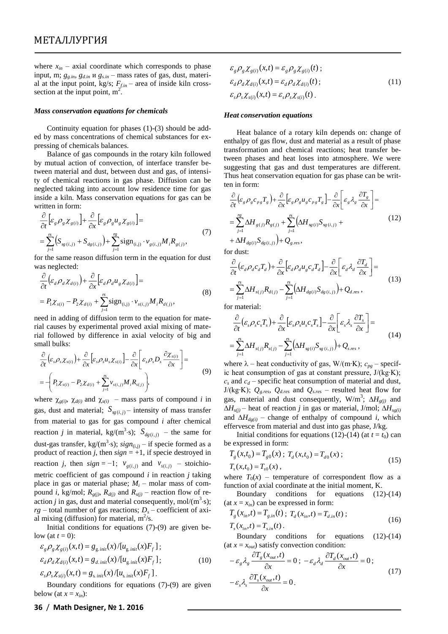where  $x_{in}$  – axial coordinate which corresponds to phase input, m; *gg.in, gd.in* и *gs.in* – mass rates of gas, dust, material at the input point, kg/s;  $F_{\text{fin}}$  – area of inside kiln crosssection at the input point,  $m^2$ .

#### *Mass conservation equations for chemicals*

Continuity equation for phases [\(1\)](#page-0-0)-[\(3\)](#page-0-1) should be added by mass concentrations of chemical substances for expressing of chemicals balances.

Balance of gas compounds in the rotary kiln followed by mutual action of convection, of interface transfer between material and dust, between dust and gas, of intensity of chemical reactions in gas phase. Diffusion can be neglected taking into account low residence time for gas inside a kiln. Mass conservation equations for gas can be written in form:

$$
\frac{\partial}{\partial t} \Big[ \varepsilon_g \rho_g \chi_{g(i)} \Big] + \frac{\partial}{\partial x} \Big[ \varepsilon_g \rho_g u_g \chi_{g(i)} \Big] = \n= \sum_{j=1}^{\infty} \Big( S_{sg(i,j)} + S_{dg(i,j)} \Big) + \sum_{j=1}^{\infty} sign_{(i,j)} \cdot v_{g(i,j)} M_i R_{g(j)},
$$
\n(7)

for the same reason diffusion term in the equation for dust was neglected:

$$
\frac{\partial}{\partial t} \left( \varepsilon_d \rho_d \chi_{d(i)} \right) + \frac{\partial}{\partial x} \left[ \varepsilon_d \rho_d u_g \chi_{d(i)} \right] =
$$
\n
$$
= P_1 \chi_{s(i)} - P_2 \chi_{d(i)} + \sum_{j=1}^n \text{sign}_{(i,j)} \cdot \nu_{s(i,j)} M_i R_{d(j)},
$$
\n(8)

need in adding of diffusion term to the equation for material causes by experimental proved axial mixing of material followed by difference in axial velocity of big and small bulks:

$$
\frac{\partial}{\partial t} \left( \varepsilon_s \rho_s \chi_{s(i)} \right) + \frac{\partial}{\partial x} \left[ \varepsilon_s \rho_s u_s \chi_{s(i)} \right] - \frac{\partial}{\partial x} \left[ \varepsilon_s \rho_s D_s \frac{\partial \chi_{s(i)}}{\partial x} \right] =
$$
\n
$$
= - \left( P_1 \chi_{s(i)} - P_2 \chi_{d(i)} + \sum_{j=1}^n v_{s(i,j)} M_i R_{s(j)} \right),
$$
\n(9)

where  $\chi_{g(i)}$ ,  $\chi_{d(i)}$  and  $\chi_{s(i)}$  – mass parts of compound *i* in gas, dust and material;  $S_{sg(i,j)}$  – intensity of mass transfer from material to gas for gas compound *i* after chemical reaction *j* in material, kg/(m<sup>3</sup>·s);  $S_{dg(i,j)}$  – the same for dust-gas transfer,  $kg/(m^3 \cdot s)$ ;  $sign_{(i,j)} - if$  specie formed as a product of reaction *j*, then  $sign = +1$ , if specie destroyed in reaction *j*, then  $sign = -1$ ;  $v_{g(i,j)}$  and  $v_{s(i,j)}$  – stoichiometric coefficient of gas compound *i* in reaction *j* taking place in gas or material phase;  $M_i$  – molar mass of compound *i*, kg/mol;  $R_{g(j)}$ ,  $R_{d(j)}$  and  $R_{s(j)}$  – reaction flow of reaction *j* in gas, dust and material consequently, mol/ $(m^3 \cdot s)$ ;  $rg$  – total number of gas reactions;  $D<sub>s</sub>$  – coefficient of axial mixing (diffusion) for material,  $m^2/s$ . where  $I_n$  and notwing is what for experimental in the sequence of  $I_n(x_0, \alpha, \alpha, \alpha, \alpha)$ <br>
below ( $x_0 = x_0$ ),  $\alpha$ ,  $\alpha$ ,  $\alpha$ ,  $\beta$ ,  $\alpha$ ,  $\beta$ ,  $\beta$ ,  $\beta$ ,  $\beta$ ,  $\beta$ ,  $\beta$ ,  $\beta$ ,  $\beta$ ,  $\beta$ ,  $\beta$ ,  $\beta$ ,  $\beta$ ,  $\beta$ ,  $\beta$ ,

Initial conditions for equations [\(7\)](#page-1-0)-[\(9\)](#page-1-1) are given below (at  $t = 0$ ):

$$
\mathcal{E}_{g} \rho_{g} \chi_{g(i)}(x,t) = g_{g,init}(x) / [u_{g,init}(x) F_{f}];
$$
  
\n
$$
\mathcal{E}_{d} \rho_{d} \chi_{d(i)}(x,t) = g_{d,init}(x) / [u_{g,init}(x) F_{f}];
$$
\n(10)

 $\varepsilon_{s} \rho_{s} \chi_{s(i)}(x,t) = g_{s\,init}(x) / [u_{s\,init}(x) F_{f}].$ 

Boundary conditions for equations [\(7\)](#page-1-0)-[\(9\)](#page-1-1) are given

$$
\mathcal{E}_{g} \rho_{g} \chi_{g(i)}(x,t) = \mathcal{E}_{g} \rho_{g} \chi_{g(i)}(t) ;
$$
  
\n
$$
\mathcal{E}_{d} \rho_{d} \chi_{d(i)}(x,t) = \mathcal{E}_{d} \rho_{d} \chi_{d(i)}(t) ;
$$
  
\n
$$
\mathcal{E}_{s} \rho_{s} \chi_{s(i)}(x,t) = \mathcal{E}_{s} \rho_{s} \chi_{s(i)}(t) .
$$
\n(11)

#### *Heat conservation equations*

Heat balance of a rotary kiln depends on: change of enthalpy of gas flow, dust and material as a result of phase transformation and chemical reactions; heat transfer between phases and heat loses into atmosphere. We were suggesting that gas and dust temperatures are different. Thus heat conservation equation for gas phase can be written in form:

<span id="page-1-2"></span>
$$
\frac{\partial}{\partial t} \left( \varepsilon_{g} \rho_{g} c_{p_{g}} T_{g} \right) + \frac{\partial}{\partial x} \left[ \varepsilon_{g} \rho_{g} u_{g} c_{p_{g}} T_{g} \right] - \frac{\partial}{\partial x} \left[ \varepsilon_{g} \lambda_{g} \frac{\partial T_{g}}{\partial x} \right] =
$$
\n
$$
= \sum_{j=1}^{r_{g}} \Delta H_{g(j)} R_{g(j)} + \sum_{j=1}^{r_{g}} \left( \Delta H_{g(j)} S_{g(j,j)} + \Delta H_{dg(i)} S_{dg(i,j)} \right) + Q_{g, res},
$$
\n(12)

<span id="page-1-0"></span>for dust:

$$
\frac{\partial}{\partial t} \left( \varepsilon_d \rho_d c_d T_d \right) + \frac{\partial}{\partial x} \left[ \varepsilon_d \rho_d u_g c_d T_d \right] - \frac{\partial}{\partial x} \left[ \varepsilon_d \lambda_d \frac{\partial T_d}{\partial x} \right] =
$$
\n
$$
= \sum_{j=1}^N \Delta H_{s(j)} R_{d(j)} - \sum_{j=1}^N \left( \Delta H_{dg(i)} S_{dg(i,j)} \right) + Q_{d, res} \,,
$$
\n(13)

for material:

<span id="page-1-3"></span>
$$
\frac{\partial}{\partial t} \left( \varepsilon_s \rho_s c_s T_s \right) + \frac{\partial}{\partial x} \left[ \varepsilon_s \rho_s u_s c_s T_s \right] - \frac{\partial}{\partial x} \left[ \varepsilon_s \lambda_s \frac{\partial T_s}{\partial x} \right] =
$$
\n
$$
= \sum_{j=1}^{N} \Delta H_{s(j)} R_{s(j)} - \sum_{j=1}^{N} \left( \Delta H_{sg(i)} S_{sg(i,j)} \right) + Q_{s, res} ,
$$
\n(14)

<span id="page-1-1"></span>where – heat conductivity of gas, W/(m∙K); *сpg* – specific heat consumption of gas at constant pressure, J/(kg∙K); *с<sup>s</sup>* and *с<sup>d</sup>* – specific heat consumption of material and dust, J/(kg∙K); *Qg.res, Qd.res* and *Qs.res* – resulted heat flow for gas, material and dust consequently,  $W/m^3$ ;  $\Delta H_{g(j)}$  and  $\Delta H_{s(j)}$  – heat of reaction *j* in gas or material, J/mol;  $\Delta H_{s(g(i))}$ and  $\Delta H_{def(i)}$  – change of enthalpy of compound *i*, which effervesce from material and dust into gas phase, J/kg.

Initial conditions for equations [\(12\)](#page-1-2)-[\(14\)](#page-1-3) (at  $t = t_0$ ) can be expressed in form:

$$
T_g(x,t_0) = T_{g0}(x); T_d(x,t_0) = T_{d0}(x);
$$
  
\n
$$
T_s(x,t_0) = T_{s0}(x),
$$
\n(15)

where  $T_0(x)$  – temperature of correspondent flow as a function of axial coordinate at the initial moment, K.

Boundary conditions for equations [\(12\)](#page-1-2)-[\(14\)](#page-1-3)  $(\text{at } x = x_{in})$  can be expressed in form:

$$
T_g(x_{in}, t) = T_{g,in}(t) \; ; \; T_d(x_{in}, t) = T_{d,in}(t) \; ;
$$
  
\n
$$
T_s(x_{in}, t) = T_{s,in}(t) \; .
$$
\n(16)

Boundary conditions for equations [\(12\)](#page-1-2)-[\(14\)](#page-1-3) (at  $x = x_{out}$ ) satisfy convection condition:

$$
-\varepsilon_{g} \lambda_{g} \frac{\partial T_{g}(x_{out},t)}{\partial x} = 0; -\varepsilon_{d} \lambda_{d} \frac{\partial T_{d}(x_{out},t)}{\partial x} = 0; -\varepsilon_{s} \lambda_{s} \frac{\partial T_{s}(x_{out},t)}{\partial x} = 0.
$$
 (17)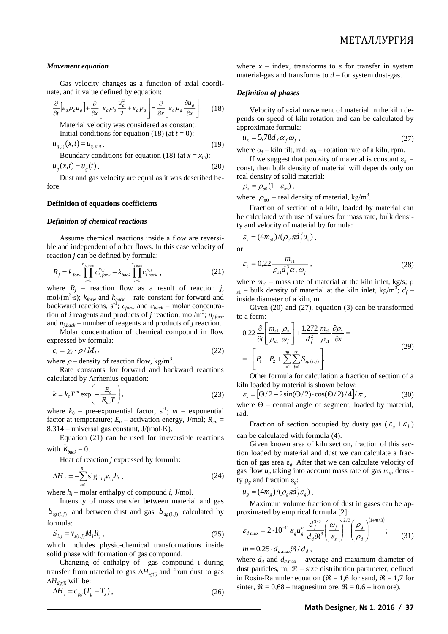### *Movement equation*

Gas velocity changes as a function of axial coordinate, and it value defined by equation:

$$
\frac{\partial}{\partial t} \Big[ \varepsilon_{g} \rho_{g} u_{g} \Big] + \frac{\partial}{\partial x} \Big[ \varepsilon_{g} \rho_{g} \frac{u_{g}^{2}}{2} + \varepsilon_{g} p_{g} \Big] = \frac{\partial}{\partial x} \Big[ \varepsilon_{g} \mu_{g} \frac{\partial u_{g}}{\partial x} \Big]. \tag{18}
$$

Material velocity was considered as constant. Initial conditions for equation [\(18\)](#page-2-0) (at  $t = 0$ ):

$$
u_{g(i)}(x,t) = u_{g.init}.
$$
\nBoundary conditions for equation (18) (at  $x = x_2$ ):

$$
u_g(x,t) = u_g(t)
$$
 (20)

Dust and gas velocity are equal as it was described before.

## **Definition of equations coefficients**

#### *Definition of chemical reactions*

Assume chemical reactions inside a flow are reversible and independent of other flows. In this case velocity of reaction *j* can be defined by formula:

$$
R_{j} = k_{\text{fow}} \prod_{i=1}^{n_{j,\text{fow}}} c_{i,\text{fow}}^{v_{i,j}} - k_{\text{back}} \prod_{i=1}^{n_{\text{j,back}}} c_{i,\text{back}}^{v_{i,j}}, \tag{21}
$$

where  $R_j$  – reaction flow as a result of reaction *j*, mol/( $m^3$ ·s);  $k_{\text{forw}}$  and  $k_{\text{back}}$  – rate constant for forward and backward reactions, s-1 ; *сforw* and *сback* – molar concentration of *i* reagents and products of *j* reaction, mol/m<sup>3</sup>;  $n_{j,forw}$ and  $n_{i,back}$  – number of reagents and products of *j* reaction.

Molar concentration of chemical compound in flow expressed by formula:

$$
c_i = \chi_i \cdot \rho / M_i, \qquad (22)
$$

where  $\rho$  – density of reaction flow, kg/m<sup>3</sup>.

Rate constants for forward and backward reactions calculated by Arrhenius equation:

$$
k = k_0 T^m \exp\left(-\frac{E_a}{R_{un}T}\right),\tag{23}
$$

where  $k_0$  – pre-exponential factor,  $s^{-1}$ ;  $m$  – exponential factor at temperature;  $E_a$  – activation energy, J/mol;  $R_{un}$  =  $8,314$  – universal gas constant, J/(mol $\cdot$ K).

Equation [\(21\)](#page-2-1) can be used for irreversible reactions with  $k_{back} = 0$ .

Heat of reaction *j* expressed by formula:

$$
\Delta H_j = -\sum_{i=1}^{n_j} sign_{i,j}v_{i,j}h_i , \qquad (24)
$$

where  $h_i$  – molar enthalpy of compound *i*, J/mol.

Intensity of mass transfer between material and gas  $S_{sg(i,j)}$  and between dust and gas  $S_{dg(i,j)}$  calculated by formula:

$$
S_{i,j} = v_{s(i,j)} M_i R_j \,, \tag{25}
$$

which includes physic-chemical transformations inside solid phase with formation of gas compound.

Changing of enthalpy of gas compound i during transfer from material to gas  $\Delta H_{sg(i)}$  and from dust to gas  $\Delta H_{d\rho(i)}$  will be:

$$
\Delta H_i = c_{pg} (T_g - T_x), \qquad (26)
$$

where  $x - \text{index}$ , transforms to *s* for transfer in system material-gas and transforms to  $d$  – for system dust-gas.

#### *Definition of phases*

<span id="page-2-0"></span>Velocity of axial movement of material in the kiln depends on speed of kiln rotation and can be calculated by approximate formula:

<span id="page-2-3"></span>
$$
u_s = 5.78d_f \alpha_f \alpha_f,
$$
\n(27)

where  $\alpha_f$  – kiln tilt, rad;  $\omega_f$  – rotation rate of a kiln, rpm.

<span id="page-2-2"></span>If we suggest that porosity of material is constant  $\varepsilon_m$  = const, then bulk density of material will depends only on real density of solid material:

$$
\rho_s = \rho_{s0}(1-\varepsilon_m)\,,
$$

where  $\rho_{s0}$  – real density of material, kg/m<sup>3</sup>.

Fraction of section of a kiln, loaded by material can be calculated with use of values for mass rate, bulk density and velocity of material by formula:

$$
\varepsilon_{s} = (4m_{s1})/(\rho_{s1}\pi d_{f}^{2}u_{s}),
$$
  
or  

$$
\varepsilon_{s} = 0.22 \frac{m_{s1}}{\rho_{s1}d_{f}^{3}\alpha_{f}\omega_{f}},
$$
 (28)

<span id="page-2-1"></span>where  $m_{s1}$  – mass rate of material at the kiln inlet, kg/s;  $\rho$  $s_1$  – bulk density of material at the kiln inlet, kg/m<sup>3</sup>;  $d_f$  – inside diameter of a kiln, m.

Given [\(20\)](#page-2-2) and [\(27\)](#page-2-3), equation [\(3\)](#page-0-1) can be transformed to a form:

$$
0,22 \frac{\partial}{\partial t} \left[ \frac{m_{s1}}{\rho_{s1}} \frac{\rho_s}{\omega_f} \right] + \frac{1,272}{d_f^2} \frac{m_{s1}}{\rho_{s1}} \frac{\partial \rho_s}{\partial x} = - \left[ P_1 - P_2 + \sum_{i=1}^{n_g} \sum_{j=1}^{n_s} S_{sg(i,j)} \right].
$$
\n(29)

Other formula for calculation a fraction of section of a kiln loaded by material is shown below:

<span id="page-2-5"></span>
$$
\varepsilon_{s} = \left[ \Theta/2 - 2\sin(\Theta/2) \cdot \cos(\Theta/2)/4 \right] / \pi , \qquad (30)
$$

where  $\Theta$  – central angle of segment, loaded by material, rad.

Fraction of section occupied by dusty gas ( $\varepsilon_g + \varepsilon_d$ ) can be calculated with formula [\(4\)](#page-0-2).

Given known area of kiln section, fraction of this section loaded by material and dust we can calculate a fraction of gas area  $\varepsilon_g$ . After that we can calculate velocity of gas flow  $u_g$  taking into account mass rate of gas  $m_g$ , density  $\rho_g$  and fraction  $\varepsilon_g$ :

$$
u_g = (4m_g)/(\rho_g \pi d_f^2 \varepsilon_g).
$$

Maximum volume fraction of dust in gases can be approximated by empirical formula [2]:

<span id="page-2-4"></span>
$$
\varepsilon_{d \max} = 2 \cdot 10^{-11} \varepsilon_g u_g^m \frac{d_f^{3/2}}{d_d \Re^3} \left( \frac{\omega_f}{\varepsilon_s} \right)^{2/3} \left( \frac{\rho_g}{\rho_d} \right)^{(1+m/3)}; \qquad (31)
$$
  
\n
$$
m = 0,25 \cdot d_{d \max} \Re / d_d ,
$$

where  $d_d$  and  $d_{d,\text{max}}$  – average and maximum diameter of dust particles, m;  $\mathfrak{R}$  – size distribution parameter, defined in Rosin-Rammler equation ( $\mathfrak{R} = 1,6$  for sand,  $\mathfrak{R} = 1,7$  for sinter,  $\mathcal{R} = 0.68$  – magnesium ore,  $\mathcal{R} = 0.6$  – iron ore).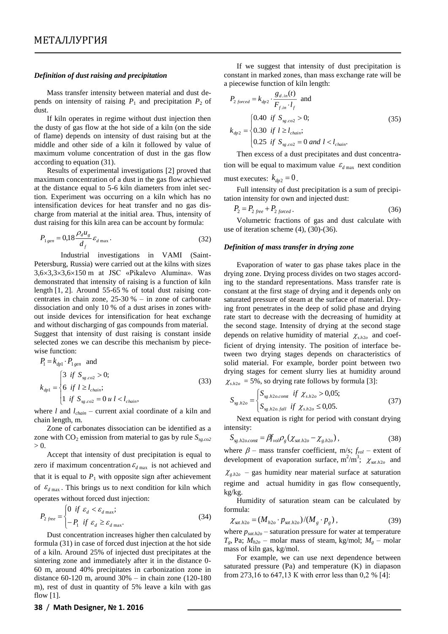#### *Definition of dust raising and precipitation*

Mass transfer intensity between material and dust depends on intensity of raising  $P_1$  and precipitation  $P_2$  of dust.

If kiln operates in regime without dust injection then the dusty of gas flow at the hot side of a kiln (on the side of flame) depends on intensity of dust raising but at the middle and other side of a kiln it followed by value of maximum volume concentration of dust in the gas flow according to equation [\(31\)](#page-2-4).

Results of experimental investigations [2] proved that maximum concentration of a dust in the gas flow achieved at the distance equal to 5-6 kiln diameters from inlet section. Experiment was occurring on a kiln which has no intensification devices for heat transfer and no gas discharge from material at the initial area. Thus, intensity of dust raising for this kiln area can be account by formula:

$$
P_{1\,gen} = 0.18 \frac{\rho_d u_g}{d_f} \varepsilon_{d\,\max} \,. \tag{32}
$$

Industrial investigations in VAMI (Saint-Petersburg, Russia) were carried out at the kilns with sizes 3,63,33,6150 m at JSC «Pikalevo Alumina». Was demonstrated that intensity of raising is a function of kiln length [1, 2]. Around 55-65 % of total dust raising concentrates in chain zone, 25-30 % – in zone of carbonate dissociation and only 10 % of a dust arises in zones without inside devices for intensification for heat exchange and without discharging of gas compounds from material. Suggest that intensity of dust raising is constant inside selected zones we can describe this mechanism by piecewise function:

$$
P_1 = k_{dp1} \cdot P_{1\,gen} \text{ and}
$$
\n
$$
k_{dp1} = \begin{cases} 3 & \text{if } S_{sg.co2} > 0; \\ 6 & \text{if } l \ge l_{chain}; \\ 1 & \text{if } S_{sg.co2} = 0 \text{ u } l < l_{chain}, \end{cases}
$$
\n(33)

where *l* and *lchain* – current axial coordinate of a kiln and chain length, m.

Zone of carbonates dissociation can be identified as a zone with CO<sub>2</sub> emission from material to gas by rule  $S_{sg.co2}$  $> 0.$ 

Accept that intensity of dust precipitation is equal to zero if maximum concentration  $\varepsilon_{d \max}$  is not achieved and that it is equal to  $P_1$  with opposite sign after achievement of  $\mathcal{E}_{d \text{max}}$ . This brings us to next condition for kiln which operates without forced dust injection:

$$
P_{2\,free} = \begin{cases} 0 & \text{if } \varepsilon_d < \varepsilon_{d\,\max}; \\ -P_1 & \text{if } \varepsilon_d \ge \varepsilon_{d\,\max}. \end{cases} \tag{34}
$$

Dust concentration increases higher then calculated by formula [\(31\)](#page-2-4) in case of forced dust injection at the hot side of a kiln. Around 25% of injected dust precipitates at the sintering zone and immediately after it in the distance 0- 60 m, around 40% precipitates in carbonization zone in distance 60-120 m, around 30% – in chain zone (120-180 m), rest of dust in quantity of 5% leave a kiln with gas flow [1].

If we suggest that intensity of dust precipitation is constant in marked zones, than mass exchange rate will be a piecewise function of kiln length:

$$
P_{2\,forced} = k_{dp2} \cdot \frac{g_{d,in}(t)}{F_{f,in} \cdot l_f} \text{ and}
$$
\n
$$
k_{dp2} = \begin{cases} 0.40 & \text{if } S_{sg.co2} > 0; \\ 0.30 & \text{if } l \ge l_{chain}; \\ 0.25 & \text{if } S_{sg.co2} = 0 \text{ and } l < l_{chain}. \end{cases} \tag{35}
$$

Then excess of a dust precipitates and dust concentration will be equal to maximum value  $\epsilon_{d \max}$  next condition

must executes:  $k_{dp2} = 0$ .

Full intensity of dust precipitation is a sum of precipitation intensity for own and injected dust:

<span id="page-3-0"></span>
$$
P_2 = P_{2\text{ free}} + P_{2\text{ forced}} \,. \tag{36}
$$

Volumetric fractions of gas and dust calculate with use of iteration scheme [\(4\)](#page-0-2), [\(30\)](#page-2-5)-[\(36\)](#page-3-0).

## *Definition of mass transfer in drying zone*

Evaporation of water to gas phase takes place in the drying zone. Drying process divides on two stages according to the standard representations. Mass transfer rate is constant at the first stage of drying and it depends only on saturated pressure of steam at the surface of material. Drying front penetrates in the deep of solid phase and drying rate start to decrease with the decreasing of humidity at the second stage. Intensity of drying at the second stage depends on relative humidity of material  $\chi_{s,h2o}$  and coefficient of drying intensity. The position of interface between two drying stages depends on characteristics of solid material. For example, border point between two drying stages for cement slurry lies at humidity around  $\chi_{s,h2o}$  = 5%, so drying rate follows by formula [3]:

$$
S_{sg.h2o} = \begin{cases} S_{sg.h2o, const} & \text{if } \chi_{s.h2o} > 0,05; \\ S_{sg.h2o, fall} & \text{if } \chi_{s.h2o} \le 0,05. \end{cases}
$$
 (37)

Next equation is right for period with constant drying intensity:

$$
S_{sg.h2o. const} = \beta f_{vol} \rho_g \left( \chi_{sat.h2o} - \chi_{g.h2o} \right),\tag{38}
$$

where  $\beta$  – mass transfer coefficient, m/s;  $f_{vol}$  – extent of development of evaporation surface,  $m^2/m^3$ ;  $\chi_{sat,h2o}$  and  $\chi_{g,h2o}$  – gas humidity near material surface at saturation regime and actual humidity in gas flow consequently, kg/kg.

Humidity of saturation steam can be calculated by formula:

$$
\chi_{sat.h2o} = (M_{h2o} \cdot p_{sat.h2o})/(M_g \cdot p_g), \qquad (39)
$$

where  $p_{sat,h2o}$  – saturation pressure for water at temperature  $T_g$ , Pa;  $M_{h2o}$  – molar mass of steam, kg/mol;  $M_g$  – molar mass of kiln gas, kg/mol.

For example, we can use next dependence between saturated pressure (Pa) and temperature (K) in diapason from 273,16 to 647,13 К with error less than 0,2 % [4]: